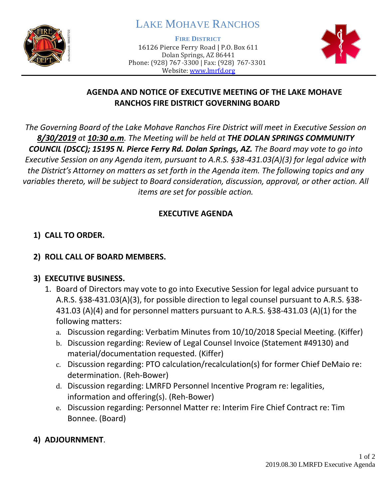

# LAKE MOHAVE RANCHOS

**FIRE DISTRICT**

16126 Pierce Ferry Road | P.O. Box 611 Dolan Springs, AZ 86441 Phone: (928) 767-3300 | Fax: (928) 767-3301 Website: [www.lmrfd.org](http://www.lmrfd.org/)



## **AGENDA AND NOTICE OF EXECUTIVE MEETING OF THE LAKE MOHAVE RANCHOS FIRE DISTRICT GOVERNING BOARD**

*The Governing Board of the Lake Mohave Ranchos Fire District will meet in Executive Session on 8/30/2019 at 10:30 a.m. The Meeting will be held at THE DOLAN SPRINGS COMMUNITY COUNCIL (DSCC); 15195 N. Pierce Ferry Rd. Dolan Springs, AZ. The Board may vote to go into Executive Session on any Agenda item, pursuant to A.R.S. §38-431.03(A)(3) for legal advice with the District's Attorney on matters as set forth in the Agenda item. The following topics and any variables thereto, will be subject to Board consideration, discussion, approval, or other action. All items are set for possible action.*

### **EXECUTIVE AGENDA**

# **1) CALL TO ORDER.**

## **2) ROLL CALL OF BOARD MEMBERS.**

### **3) EXECUTIVE BUSINESS.**

- 1. Board of Directors may vote to go into Executive Session for legal advice pursuant to A.R.S. §38-431.03(A)(3), for possible direction to legal counsel pursuant to A.R.S. §38- 431.03 (A)(4) and for personnel matters pursuant to A.R.S. §38-431.03 (A)(1) for the following matters:
	- a. Discussion regarding: Verbatim Minutes from 10/10/2018 Special Meeting. (Kiffer)
	- b. Discussion regarding: Review of Legal Counsel Invoice (Statement #49130) and material/documentation requested. (Kiffer)
	- c. Discussion regarding: PTO calculation/recalculation(s) for former Chief DeMaio re: determination. (Reh-Bower)
	- d. Discussion regarding: LMRFD Personnel Incentive Program re: legalities, information and offering(s). (Reh-Bower)
	- e. Discussion regarding: Personnel Matter re: Interim Fire Chief Contract re: Tim Bonnee. (Board)
- **4) ADJOURNMENT**.